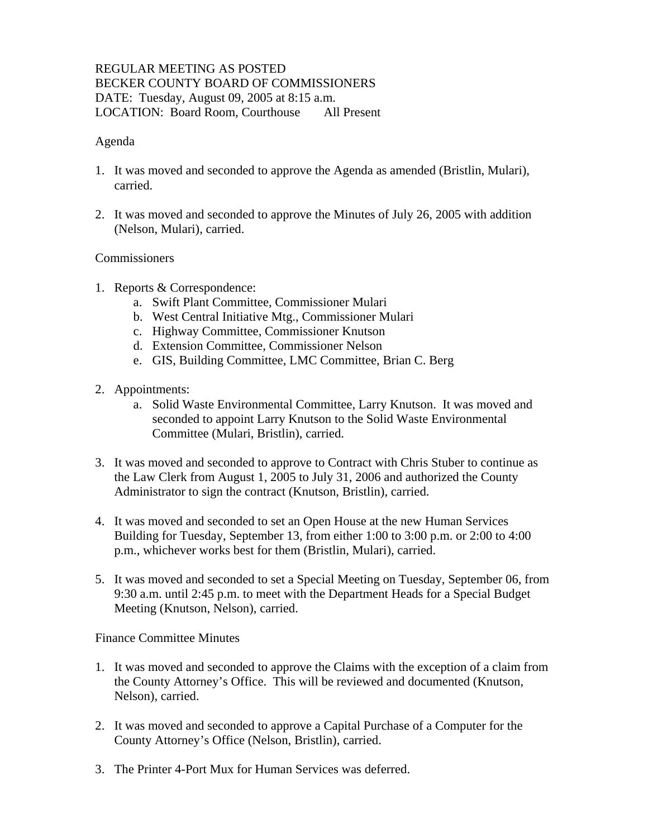## REGULAR MEETING AS POSTED BECKER COUNTY BOARD OF COMMISSIONERS DATE: Tuesday, August 09, 2005 at 8:15 a.m. LOCATION: Board Room, Courthouse All Present

### Agenda

- 1. It was moved and seconded to approve the Agenda as amended (Bristlin, Mulari), carried.
- 2. It was moved and seconded to approve the Minutes of July 26, 2005 with addition (Nelson, Mulari), carried.

## **Commissioners**

- 1. Reports & Correspondence:
	- a. Swift Plant Committee, Commissioner Mulari
	- b. West Central Initiative Mtg., Commissioner Mulari
	- c. Highway Committee, Commissioner Knutson
	- d. Extension Committee, Commissioner Nelson
	- e. GIS, Building Committee, LMC Committee, Brian C. Berg
- 2. Appointments:
	- a. Solid Waste Environmental Committee, Larry Knutson. It was moved and seconded to appoint Larry Knutson to the Solid Waste Environmental Committee (Mulari, Bristlin), carried.
- 3. It was moved and seconded to approve to Contract with Chris Stuber to continue as the Law Clerk from August 1, 2005 to July 31, 2006 and authorized the County Administrator to sign the contract (Knutson, Bristlin), carried.
- 4. It was moved and seconded to set an Open House at the new Human Services Building for Tuesday, September 13, from either 1:00 to 3:00 p.m. or 2:00 to 4:00 p.m., whichever works best for them (Bristlin, Mulari), carried.
- 5. It was moved and seconded to set a Special Meeting on Tuesday, September 06, from 9:30 a.m. until 2:45 p.m. to meet with the Department Heads for a Special Budget Meeting (Knutson, Nelson), carried.

### Finance Committee Minutes

- 1. It was moved and seconded to approve the Claims with the exception of a claim from the County Attorney's Office. This will be reviewed and documented (Knutson, Nelson), carried.
- 2. It was moved and seconded to approve a Capital Purchase of a Computer for the County Attorney's Office (Nelson, Bristlin), carried.
- 3. The Printer 4-Port Mux for Human Services was deferred.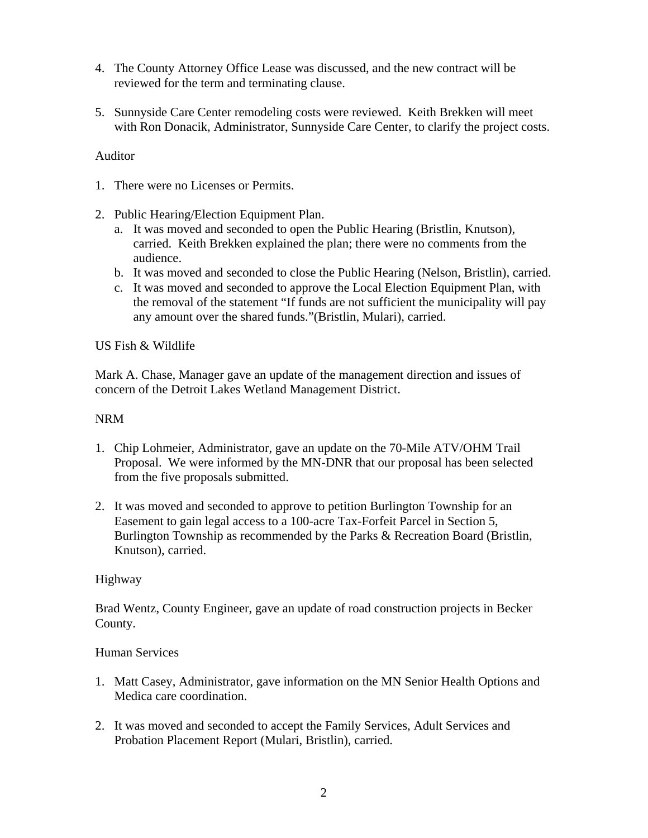- 4. The County Attorney Office Lease was discussed, and the new contract will be reviewed for the term and terminating clause.
- 5. Sunnyside Care Center remodeling costs were reviewed. Keith Brekken will meet with Ron Donacik, Administrator, Sunnyside Care Center, to clarify the project costs.

# Auditor

- 1. There were no Licenses or Permits.
- 2. Public Hearing/Election Equipment Plan.
	- a. It was moved and seconded to open the Public Hearing (Bristlin, Knutson), carried. Keith Brekken explained the plan; there were no comments from the audience.
	- b. It was moved and seconded to close the Public Hearing (Nelson, Bristlin), carried.
	- c. It was moved and seconded to approve the Local Election Equipment Plan, with the removal of the statement "If funds are not sufficient the municipality will pay any amount over the shared funds."(Bristlin, Mulari), carried.

### US Fish & Wildlife

Mark A. Chase, Manager gave an update of the management direction and issues of concern of the Detroit Lakes Wetland Management District.

## NRM

- 1. Chip Lohmeier, Administrator, gave an update on the 70-Mile ATV/OHM Trail Proposal. We were informed by the MN-DNR that our proposal has been selected from the five proposals submitted.
- 2. It was moved and seconded to approve to petition Burlington Township for an Easement to gain legal access to a 100-acre Tax-Forfeit Parcel in Section 5, Burlington Township as recommended by the Parks & Recreation Board (Bristlin, Knutson), carried.

### Highway

Brad Wentz, County Engineer, gave an update of road construction projects in Becker County.

### Human Services

- 1. Matt Casey, Administrator, gave information on the MN Senior Health Options and Medica care coordination.
- 2. It was moved and seconded to accept the Family Services, Adult Services and Probation Placement Report (Mulari, Bristlin), carried.